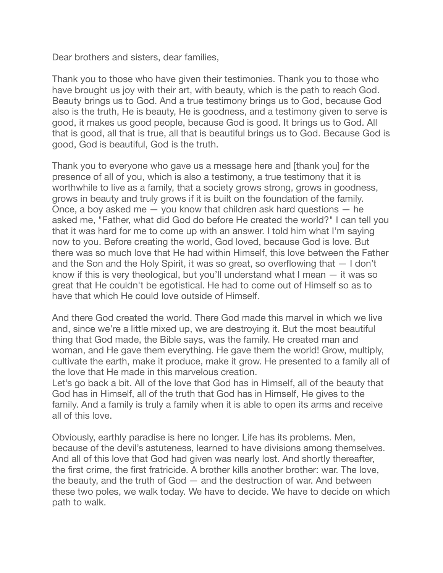Dear brothers and sisters, dear families,

Thank you to those who have given their testimonies. Thank you to those who have brought us joy with their art, with beauty, which is the path to reach God. Beauty brings us to God. And a true testimony brings us to God, because God also is the truth, He is beauty, He is goodness, and a testimony given to serve is good, it makes us good people, because God is good. It brings us to God. All that is good, all that is true, all that is beautiful brings us to God. Because God is good, God is beautiful, God is the truth.

Thank you to everyone who gave us a message here and [thank you] for the presence of all of you, which is also a testimony, a true testimony that it is worthwhile to live as a family, that a society grows strong, grows in goodness, grows in beauty and truly grows if it is built on the foundation of the family. Once, a boy asked me — you know that children ask hard questions — he asked me, "Father, what did God do before He created the world?" I can tell you that it was hard for me to come up with an answer. I told him what I'm saying now to you. Before creating the world, God loved, because God is love. But there was so much love that He had within Himself, this love between the Father and the Son and the Holy Spirit, it was so great, so overflowing that — I don't know if this is very theological, but you'll understand what I mean — it was so great that He couldn't be egotistical. He had to come out of Himself so as to have that which He could love outside of Himself.

And there God created the world. There God made this marvel in which we live and, since we're a little mixed up, we are destroying it. But the most beautiful thing that God made, the Bible says, was the family. He created man and woman, and He gave them everything. He gave them the world! Grow, multiply, cultivate the earth, make it produce, make it grow. He presented to a family all of the love that He made in this marvelous creation.

Let's go back a bit. All of the love that God has in Himself, all of the beauty that God has in Himself, all of the truth that God has in Himself, He gives to the family. And a family is truly a family when it is able to open its arms and receive all of this love.

Obviously, earthly paradise is here no longer. Life has its problems. Men, because of the devil's astuteness, learned to have divisions among themselves. And all of this love that God had given was nearly lost. And shortly thereafter, the first crime, the first fratricide. A brother kills another brother: war. The love, the beauty, and the truth of God — and the destruction of war. And between these two poles, we walk today. We have to decide. We have to decide on which path to walk.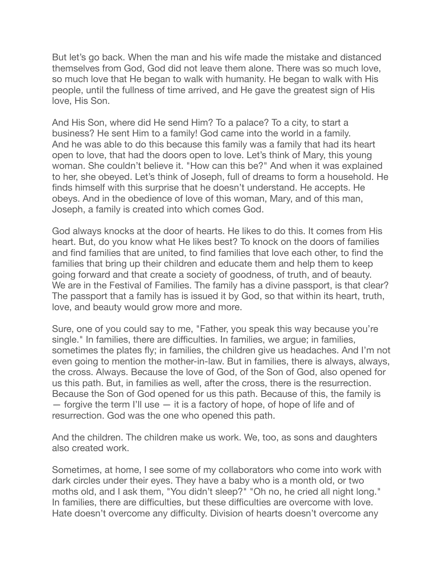But let's go back. When the man and his wife made the mistake and distanced themselves from God, God did not leave them alone. There was so much love, so much love that He began to walk with humanity. He began to walk with His people, until the fullness of time arrived, and He gave the greatest sign of His love, His Son.

And His Son, where did He send Him? To a palace? To a city, to start a business? He sent Him to a family! God came into the world in a family. And he was able to do this because this family was a family that had its heart open to love, that had the doors open to love. Let's think of Mary, this young woman. She couldn't believe it. "How can this be?" And when it was explained to her, she obeyed. Let's think of Joseph, full of dreams to form a household. He finds himself with this surprise that he doesn't understand. He accepts. He obeys. And in the obedience of love of this woman, Mary, and of this man, Joseph, a family is created into which comes God.

God always knocks at the door of hearts. He likes to do this. It comes from His heart. But, do you know what He likes best? To knock on the doors of families and find families that are united, to find families that love each other, to find the families that bring up their children and educate them and help them to keep going forward and that create a society of goodness, of truth, and of beauty. We are in the Festival of Families. The family has a divine passport, is that clear? The passport that a family has is issued it by God, so that within its heart, truth, love, and beauty would grow more and more.

Sure, one of you could say to me, "Father, you speak this way because you're single." In families, there are difficulties. In families, we argue; in families, sometimes the plates fly; in families, the children give us headaches. And I'm not even going to mention the mother-in-law. But in families, there is always, always, the cross. Always. Because the love of God, of the Son of God, also opened for us this path. But, in families as well, after the cross, there is the resurrection. Because the Son of God opened for us this path. Because of this, the family is — forgive the term I'll use — it is a factory of hope, of hope of life and of resurrection. God was the one who opened this path.

And the children. The children make us work. We, too, as sons and daughters also created work.

Sometimes, at home, I see some of my collaborators who come into work with dark circles under their eyes. They have a baby who is a month old, or two moths old, and I ask them, "You didn't sleep?" "Oh no, he cried all night long." In families, there are difficulties, but these difficulties are overcome with love. Hate doesn't overcome any difficulty. Division of hearts doesn't overcome any